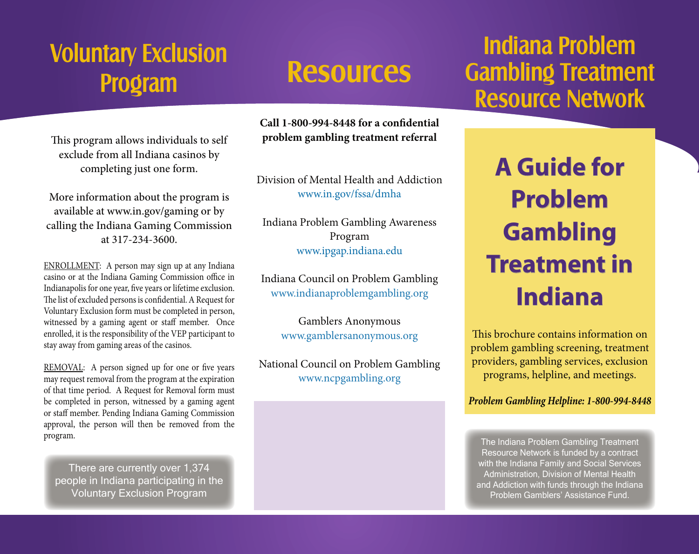# **Voluntary Exclusion Program Resources**

This program allows individuals to self exclude from all Indiana casinos by completing just one form.

More information about the program is available at www.in.gov/gaming or by calling the Indiana Gaming Commission at 317-234-3600.

ENROLLMENT: A person may sign up at any Indiana casino or at the Indiana Gaming Commission office in Indianapolis for one year, five years or lifetime exclusion. The list of excluded persons is confidential. A Request for Voluntary Exclusion form must be completed in person, witnessed by a gaming agent or staff member. Once enrolled, it is the responsibility of the VEP participant to stay away from gaming areas of the casinos.

REMOVAL: A person signed up for one or five years may request removal from the program at the expiration of that time period. A Request for Removal form must be completed in person, witnessed by a gaming agent or staff member. Pending Indiana Gaming Commission approval, the person will then be removed from the program.

There are currently over 1,374 people in Indiana participating in the Voluntary Exclusion Program

**Call 1-800-994-8448 for a confidential problem gambling treatment referral**

Division of Mental Health and Addiction www.in.gov/fssa/dmha

Indiana Problem Gambling Awareness Program www.ipgap.indiana.edu

Indiana Council on Problem Gambling www.indianaproblemgambling.org

> Gamblers Anonymous www.gamblersanonymous.org

National Council on Problem Gambling www.ncpgambling.org

## **Indiana Problem Gambling Treatment Resource Network**

**A Guide for Problem Gambling Treatment in Indiana**

This brochure contains information on problem gambling screening, treatment providers, gambling services, exclusion programs, helpline, and meetings.

*Problem Gambling Helpline: 1-800-994-8448*

The Indiana Problem Gambling Treatment Resource Network is funded by a contract with the Indiana Family and Social Services Administration, Division of Mental Health and Addiction with funds through the Indiana Problem Gamblers' Assistance Fund.